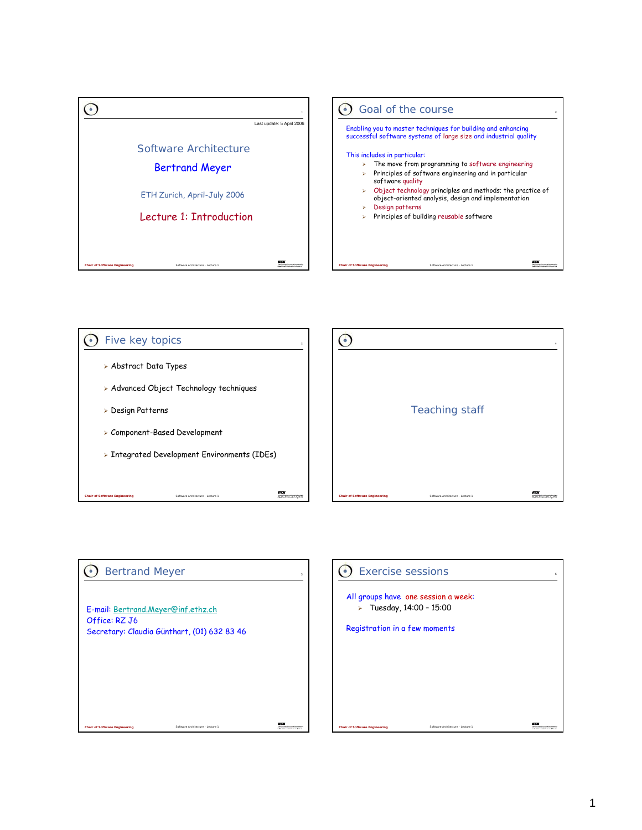



## Bertrand Meyer E-mail: Bertrand.Meyer@inf.ethz.ch Office: RZ J6 Secretary: Claudia Günthart, (01) 632 83 46

Software Architecture - Lecture 1

*Chair of Software Engineering*

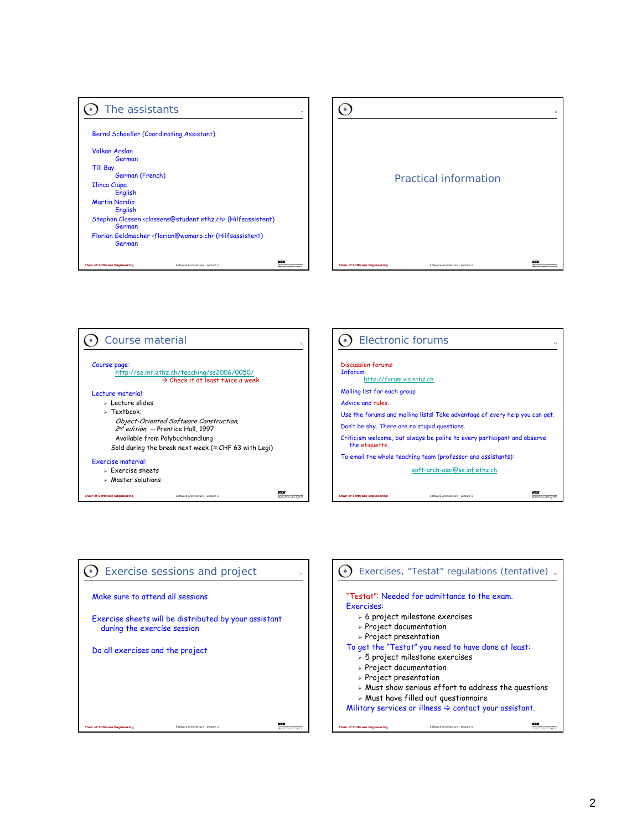| The assistants                                                                                    |  |
|---------------------------------------------------------------------------------------------------|--|
|                                                                                                   |  |
| Bernd Schoeller (Coordinating Assistant)                                                          |  |
| <b>Volkan Arslan</b>                                                                              |  |
| German                                                                                            |  |
| <b>Till Bay</b>                                                                                   |  |
| German (French)                                                                                   |  |
| <b>Ilinca Ciupa</b>                                                                               |  |
| <b>English</b>                                                                                    |  |
| <b>Martin Nordio</b>                                                                              |  |
| English                                                                                           |  |
| Stephan Classen <classens@student.ethz.ch> (Hilfsassistent)<br/>German</classens@student.ethz.ch> |  |
| Florian Geldmacher <florian@womaro.ch> (Hilfsassistent)<br/>German</florian@womaro.ch>            |  |
|                                                                                                   |  |
| <b>Chair of Software Engineering</b><br>Software Architecture - Lecture 1                         |  |



10





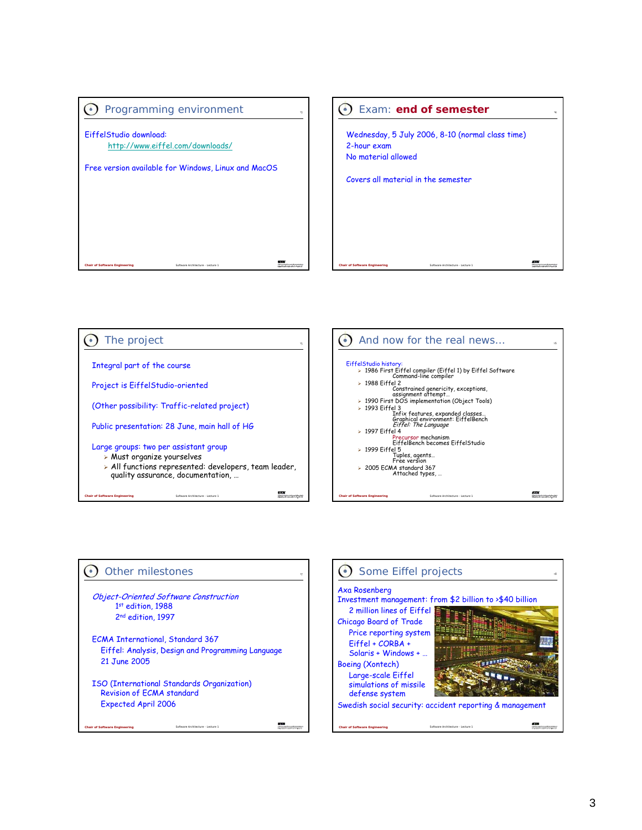







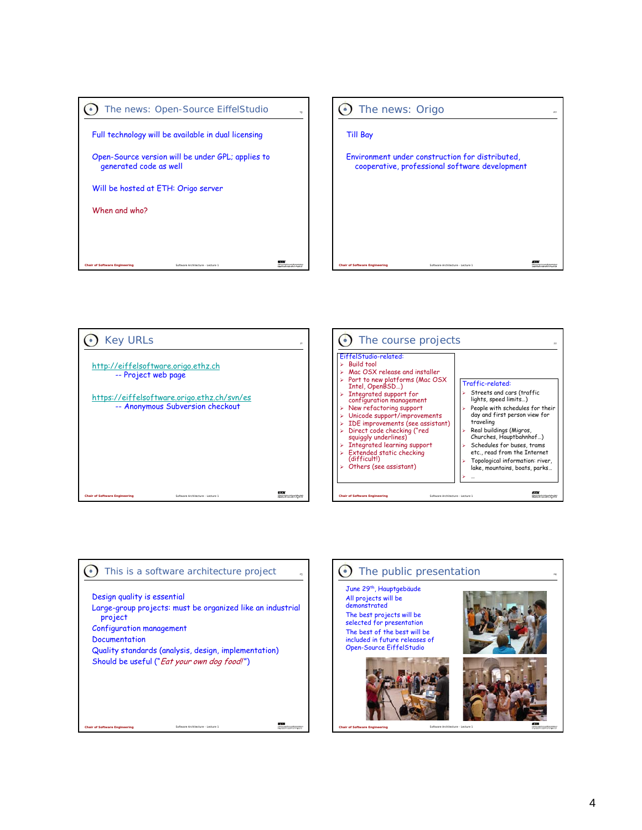